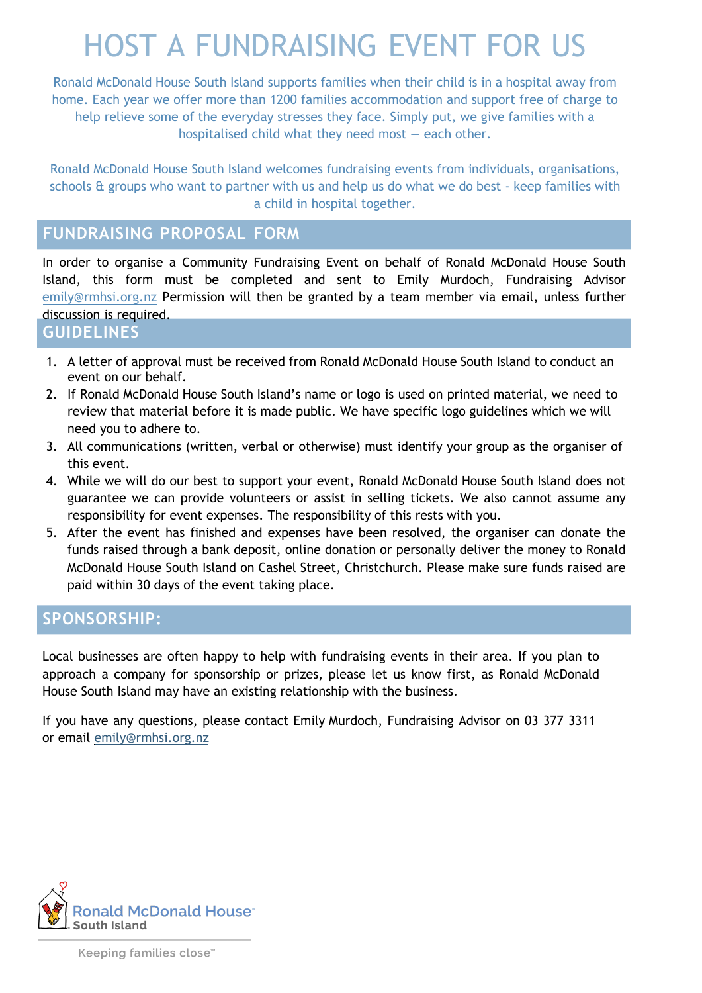# HOST A FUNDRAISING EVENT FOR US

Ronald McDonald House South Island supports families when their child is in a hospital away from home. Each year we offer more than 1200 families accommodation and support free of charge to help relieve some of the everyday stresses they face. Simply put, we give families with a hospitalised child what they need most — each other.

Ronald McDonald House South Island welcomes fundraising events from individuals, organisations, schools & groups who want to partner with us and help us do what we do best - keep families with a child in hospital together.

## **FUNDRAISING PROPOSAL FORM**

In order to organise a Community Fundraising Event on behalf of Ronald McDonald House South Island, this form must be completed and sent to Emily Murdoch, Fu[ndraising Advisor](mailto:nia@rmhsi.org.nz)  emily@rmhsi.org.nz Permission will then be granted by a team member via email, unless further discussion is required.

#### **GUIDELINES**

- 1. A letter of approval must be received from Ronald McDonald House South Island to conduct an event on our behalf.
- 2. If Ronald McDonald House South Island's name or logo is used on printed material, we need to review that material before it is made public. We have specific logo guidelines which we will need you to adhere to.
- 3. All communications (written, verbal or otherwise) must identify your group as the organiser of this event.
- 4. While we will do our best to support your event, Ronald McDonald House South Island does not guarantee we can provide volunteers or assist in selling tickets. We also cannot assume any responsibility for event expenses. The responsibility of this rests with you.
- 5. After the event has finished and expenses have been resolved, the organiser can donate the funds raised through a bank deposit, online donation or personally deliver the money to Ronald McDonald House South Island on Cashel Street, Christchurch. Please make sure funds raised are paid within 30 days of the event taking place.

## **SPONSORSHIP:**

Local businesses are often happy to help with fundraising events in their area. If you plan to approach a company for sponsorship or prizes, please let us know first, as Ronald McDonald House South Island may have an existing relationship with the business.

If you have any questions, please contact Emily Murdoch, Fundraising Advisor on 03 377 3311 or email emily[@rmhsi.or](mailto:nia@rmhsi.org.nz)g.nz

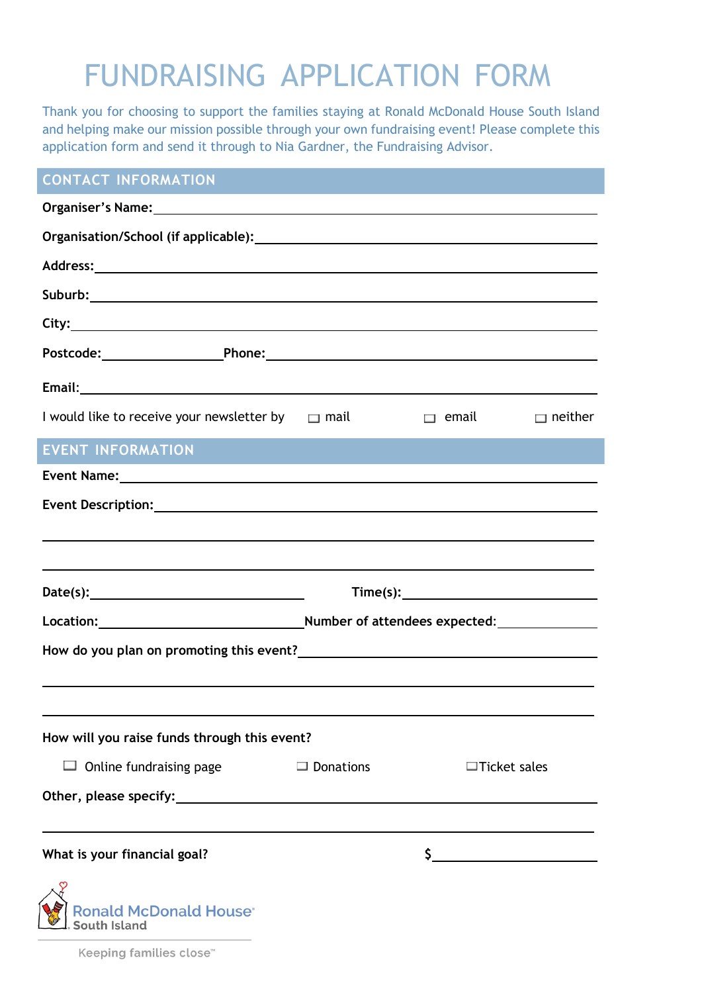# FUNDRAISING APPLICATION FORM

Thank you for choosing to support the families staying at Ronald McDonald House South Island and helping make our mission possible through your own fundraising event! Please complete this application form and send it through to Nia Gardner, the Fundraising Advisor.

## **CONTACT INFORMATION**

| Email: Note of the Commission of the Commission of the Commission of the Commission of the Commission of the Commission of the Commission of the Commission of the Commission of the Commission of the Commission of the Commi |                                                                                                                                                                                                                                                                                                                                                                                                                                     |                                                                                                                       |                     |  |
|--------------------------------------------------------------------------------------------------------------------------------------------------------------------------------------------------------------------------------|-------------------------------------------------------------------------------------------------------------------------------------------------------------------------------------------------------------------------------------------------------------------------------------------------------------------------------------------------------------------------------------------------------------------------------------|-----------------------------------------------------------------------------------------------------------------------|---------------------|--|
| I would like to receive your newsletter by $\Box$ mail                                                                                                                                                                         |                                                                                                                                                                                                                                                                                                                                                                                                                                     | $\Box$ email                                                                                                          | $\Box$ neither      |  |
| <b>EVENT INFORMATION</b>                                                                                                                                                                                                       |                                                                                                                                                                                                                                                                                                                                                                                                                                     | <b>Contract Contract Contract Contract Contract Contract Contract Contract Contract Contract Contract Contract Co</b> |                     |  |
|                                                                                                                                                                                                                                |                                                                                                                                                                                                                                                                                                                                                                                                                                     |                                                                                                                       |                     |  |
|                                                                                                                                                                                                                                |                                                                                                                                                                                                                                                                                                                                                                                                                                     |                                                                                                                       |                     |  |
| <u> 1989 - Johann Stoff, deutscher Stoff, der Stoff, der Stoff, der Stoff, der Stoff, der Stoff, der Stoff, der S</u><br>,我们也不会有什么。""我们的人,我们也不会有什么?""我们的人,我们也不会有什么?""我们的人,我们也不会有什么?""我们的人,我们也不会有什么?""我们的人                      |                                                                                                                                                                                                                                                                                                                                                                                                                                     |                                                                                                                       |                     |  |
| Date(s): $\qquad \qquad$                                                                                                                                                                                                       | $Time(s): \begin{tabular}{ c c } \hline \hline \multicolumn{3}{ c }{1} & \multicolumn{3}{ c }{1} & \multicolumn{3}{ c }{1} & \multicolumn{3}{ c }{1} & \multicolumn{3}{ c }{1} & \multicolumn{3}{ c }{1} & \multicolumn{3}{ c }{1} & \multicolumn{3}{ c }{1} & \multicolumn{3}{ c }{1} & \multicolumn{3}{ c }{1} & \multicolumn{3}{ c }{1} & \multicolumn{3}{ c }{1} & \multicolumn{3}{ c }{1} & \multicolumn{3}{ c }{1} & \multic$ |                                                                                                                       |                     |  |
|                                                                                                                                                                                                                                |                                                                                                                                                                                                                                                                                                                                                                                                                                     |                                                                                                                       |                     |  |
|                                                                                                                                                                                                                                |                                                                                                                                                                                                                                                                                                                                                                                                                                     |                                                                                                                       |                     |  |
|                                                                                                                                                                                                                                |                                                                                                                                                                                                                                                                                                                                                                                                                                     |                                                                                                                       |                     |  |
| How will you raise funds through this event?                                                                                                                                                                                   |                                                                                                                                                                                                                                                                                                                                                                                                                                     |                                                                                                                       |                     |  |
| Online fundraising page                                                                                                                                                                                                        | $\Box$ Donations                                                                                                                                                                                                                                                                                                                                                                                                                    |                                                                                                                       | $\Box$ Ticket sales |  |
| Other, please specify:                                                                                                                                                                                                         | <u> 1980 - Jan Stein Stein Stein Stein Stein Stein Stein Stein Stein Stein Stein Stein Stein Stein Stein Stein S</u>                                                                                                                                                                                                                                                                                                                |                                                                                                                       |                     |  |
|                                                                                                                                                                                                                                |                                                                                                                                                                                                                                                                                                                                                                                                                                     |                                                                                                                       |                     |  |
| What is your financial goal?                                                                                                                                                                                                   |                                                                                                                                                                                                                                                                                                                                                                                                                                     |                                                                                                                       |                     |  |
| <b>Ronald McDonald House*</b><br><b>South Island</b>                                                                                                                                                                           |                                                                                                                                                                                                                                                                                                                                                                                                                                     |                                                                                                                       |                     |  |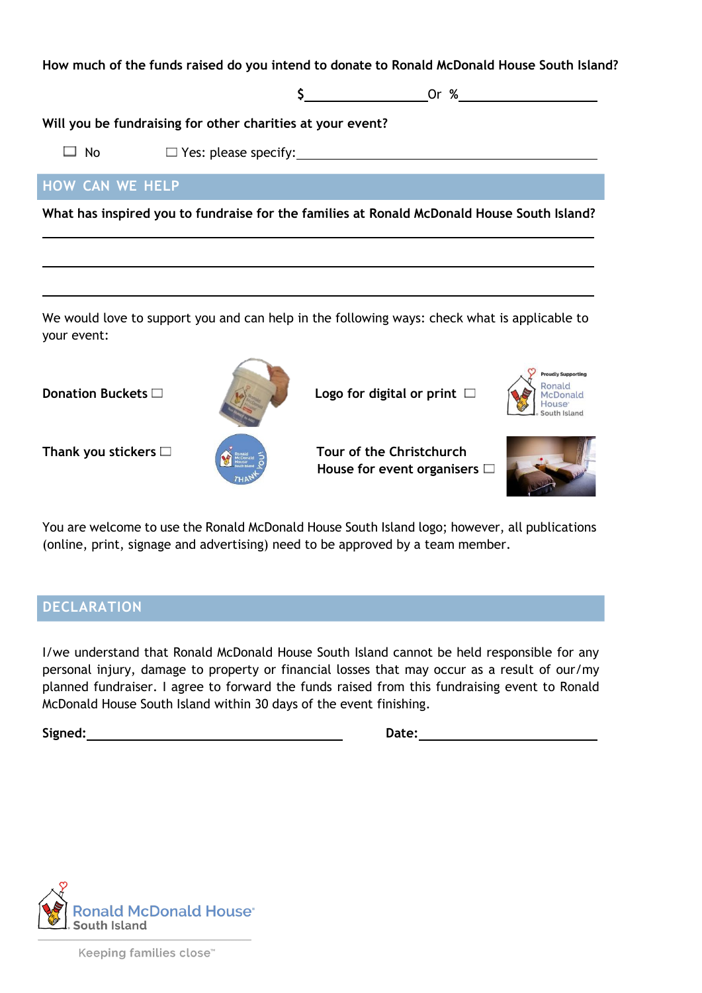**How much of the funds raised do you intend to donate to Ronald McDonald House South Island?** 

**\$** Or **%**

**Will you be fundraising for other charities at your event?**

 $\Box$  No  $\Box$  Yes: please specify:

### **HOW CAN WE HELP**

**What has inspired you to fundraise for the families at Ronald McDonald House South Island?**

We would love to support you and can help in the following ways: check what is applicable to your event:



**Donation Buckets** □ **Logo for digital or print** □





**Ronald** McDonald



You are welcome to use the Ronald McDonald House South Island logo; however, all publications (online, print, signage and advertising) need to be approved by a team member.

#### **DECLARATION**

I/we understand that Ronald McDonald House South Island cannot be held responsible for any personal injury, damage to property or financial losses that may occur as a result of our/my planned fundraiser. I agree to forward the funds raised from this fundraising event to Ronald McDonald House South Island within 30 days of the event finishing.

**Signed: Date:**



Keeping families close™